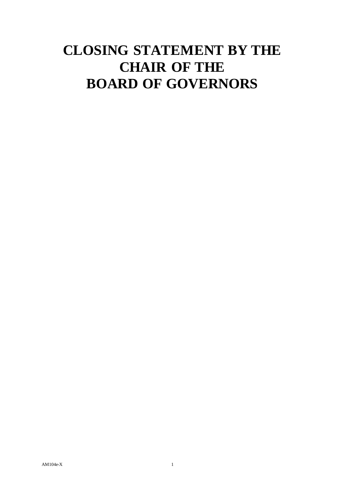# **CLOSING STATEMENT BY THE CHAIR OF THE BOARD OF GOVERNORS**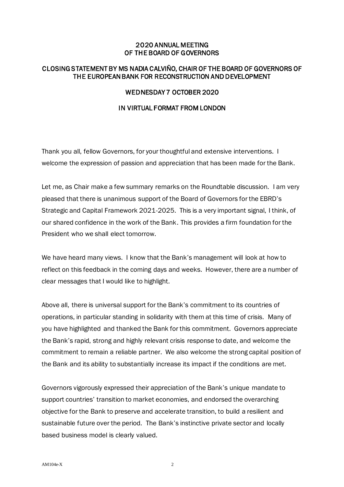## 2020 ANNUAL MEETING OF THE BOARD OF GOVERNORS

## CLOSING STATEMENT BY MS NADIA CALVIÑO, CHAIR OF THE BOARD OF GOVERNORS OF THE EUROPEAN BANK FOR RECONSTRUCTION AND DEVELOPMENT

#### WEDNESDAY 7 OCTOBER 2020

#### IN VIRTUAL FORMAT FROM LONDON

Thank you all, fellow Governors, for your thoughtful and extensive interventions. I welcome the expression of passion and appreciation that has been made for the Bank.

Let me, as Chair make a few summary remarks on the Roundtable discussion. I am very pleased that there is unanimous support of the Board of Governors for the EBRD's Strategic and Capital Framework 2021-2025. This is a very important signal, I think, of our shared confidence in the work of the Bank. This provides a firm foundation for the President who we shall elect tomorrow.

We have heard many views. I know that the Bank's management will look at how to reflect on this feedback in the coming days and weeks. However, there are a number of clear messages that I would like to highlight.

Above all, there is universal support for the Bank's commitment to its countries of operations, in particular standing in solidarity with them at this time of crisis. Many of you have highlighted and thanked the Bank for this commitment. Governors appreciate the Bank's rapid, strong and highly relevant crisis response to date, and welcome the commitment to remain a reliable partner. We also welcome the strong capital position of the Bank and its ability to substantially increase its impact if the conditions are met.

Governors vigorously expressed their appreciation of the Bank's unique mandate to support countries' transition to market economies, and endorsed the overarching objective for the Bank to preserve and accelerate transition, to build a resilient and sustainable future over the period. The Bank's instinctive private sector and locally based business model is clearly valued.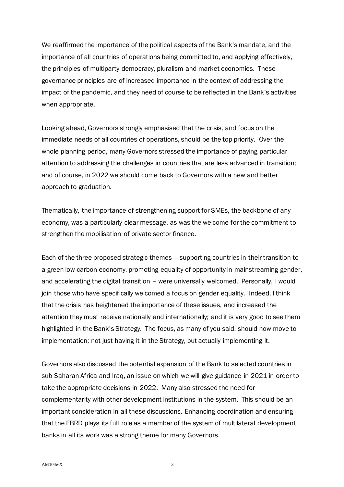We reaffirmed the importance of the political aspects of the Bank's mandate, and the importance of all countries of operations being committed to, and applying effectively, the principles of multiparty democracy, pluralism and market economies. These governance principles are of increased importance in the context of addressing the impact of the pandemic, and they need of course to be reflected in the Bank's activities when appropriate.

Looking ahead, Governors strongly emphasised that the crisis, and focus on the immediate needs of all countries of operations, should be the top priority. Over the whole planning period, many Governors stressed the importance of paying particular attention to addressing the challenges in countries that are less advanced in transition; and of course, in 2022 we should come back to Governors with a new and better approach to graduation.

Thematically, the importance of strengthening support for SMEs, the backbone of any economy, was a particularly clear message, as was the welcome for the commitment to strengthen the mobilisation of private sector finance.

Each of the three proposed strategic themes – supporting countries in their transition to a green low-carbon economy, promoting equality of opportunity in mainstreaming gender, and accelerating the digital transition – were universally welcomed. Personally, I would join those who have specifically welcomed a focus on gender equality. Indeed, I think that the crisis has heightened the importance of these issues, and increased the attention they must receive nationally and internationally; and it is very good to see them highlighted in the Bank's Strategy. The focus, as many of you said, should now move to implementation; not just having it in the Strategy, but actually implementing it.

Governors also discussed the potential expansion of the Bank to selected countries in sub Saharan Africa and Iraq, an issue on which we will give guidance in 2021 in order to take the appropriate decisions in 2022. Many also stressed the need for complementarity with other development institutions in the system. This should be an important consideration in all these discussions. Enhancing coordination and ensuring that the EBRD plays its full role as a member of the system of multilateral development banks in all its work was a strong theme for many Governors.